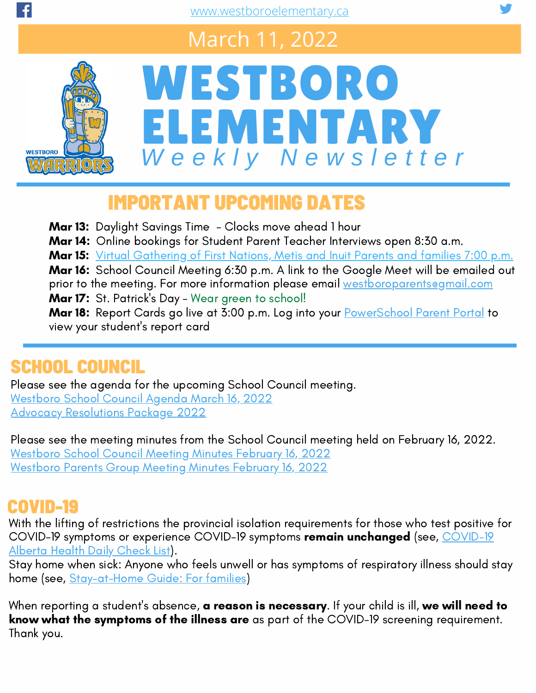## March 11, 2022



# WESTBORO ELEMENTARY *W e e k l y N e w s l e t t e r*

## IMPORTANT UPCOMING DATES

**Mar 13:** Daylight Savings Time - Clocks move ahead 1 hour

Mar 14: Online bookings for Student Parent Teacher Interviews open 8:30 a.m.

Mar 15: Virtual [Gathering](https://www.westboroelementary.ca/school-calendar#/event/2022/03/15/455977) of First Nations, Metis and Inuit Parents and families 7:00 p.m.

Mar 16: School Council Meeting 6:30 p.m. A link to the Google Meet will be emailed out prior to the meeting. For more information please email [westboroparents@gmail.com](mailto:westboroparents@gmail.com) Mar 17: St. Patrick's Day - Wear green to school!

Mar 18: Report Cards go live at 3:00 p.m. Log into your [PowerSchool](https://www.eips.ca/parents/powerschool/access) Parent Portal to view your student's report card

#### SCHOOL COUNCIL

Please see the agenda for the upcoming School Council meeting. [Westboro](https://www.westboroelementary.ca/download/384603) School Council Agenda March 16, 2022 Advocacy [Resolutions](https://www.westboroelementary.ca/download/384607) Package 2022

Please see the meeting minutes from the School Council meeting held on February 16, 2022. [Westboro](https://www.westboroelementary.ca/download/384604) School Council Meeting Minutes February 16, 2022 [Westboro](https://www.westboroelementary.ca/download/384602) Parents Group Meeting Minutes February 16, 2022

#### COVID-19

With the lifting of restrictions the provincial isolation requirements for those who test positive for COVID-19 symptoms or experience COVID-19 symptoms remain [unchanged](https://open.alberta.ca/dataset/56c020ed-1782-4c6c-bfdd-5af36754471f/resource/58957831-a4ab-45ff-9a8e-3c6af7c1622e/download/covid-19-information-alberta-health-daily-checklist-2022-02.pdf) (see, COVID-19 Alberta Health Daily Check List).

Stay home when sick: Anyone who feels unwell or has symptoms of respiratory illness should stay home (see, [Stay-at-Home](https://www.eips.ca/download/310777) Guide: For families)

When reporting a student's absence, **a reason is necessary**. If your child is ill, we will need to know what the symptoms of the illness are as part of the COVID-19 screening requirement. Thank you.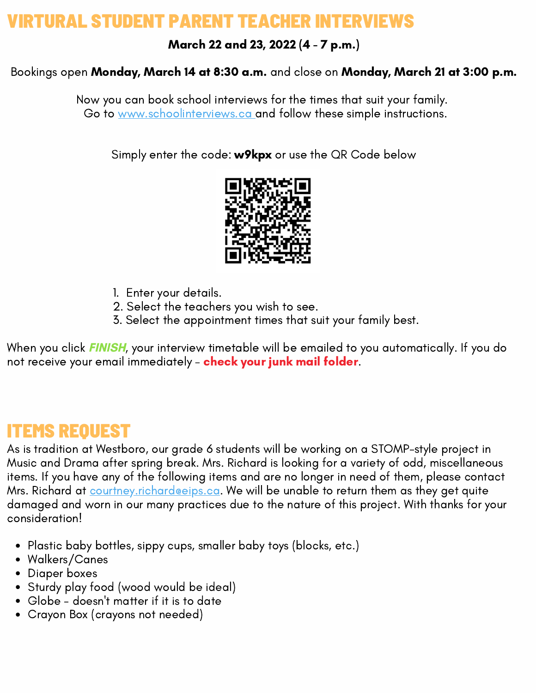#### AI STUDENT PARENT TEACHER INTER

March 22 and 23, 2022 (4 - 7 p.m.)

#### Bookings open Monday, March 14 at 8:30 a.m. and close on Monday, March 21 at 3:00 p.m.

Now you can book school interviews for the times that suit your family. Go to [www.schoolinterviews.ca](https://www.schoolinterviews.ca/book/closed?z=XYPGtV) and follow these simple instructions.

Simply enter the code: **w9kpx** or use the QR Code below



- 1. Enter your details.
- 2. Select the teachers you wish to see.
- 3. Select the appointment times that suit your family best.

When you click **FINISH**, your interview timetable will be emailed to you automatically. If you do not receive your email immediately - check your junk mail folder.

#### ITEMS REQUEST

As is tradition at Westboro, our grade 6 students will be working on a STOMP-style project in Music and Drama after spring break. Mrs. Richard is looking for a variety of odd, miscellaneous items. If you have any of the following items and are no longer in need of them, please contact Mrs. Richard at **[courtney.richard@eips.ca](mailto:courtney.richard@eips.ca).** We will be unable to return them as they get quite damaged and worn in our many practices due to the nature of this project. With thanks for your consideration!

- Plastic baby bottles, sippy cups, smaller baby toys (blocks, etc.)
- Walkers/Canes
- Diaper boxes
- Sturdy play food (wood would be ideal)
- Globe doesn't matter if it is to date
- Crayon Box (crayons not needed)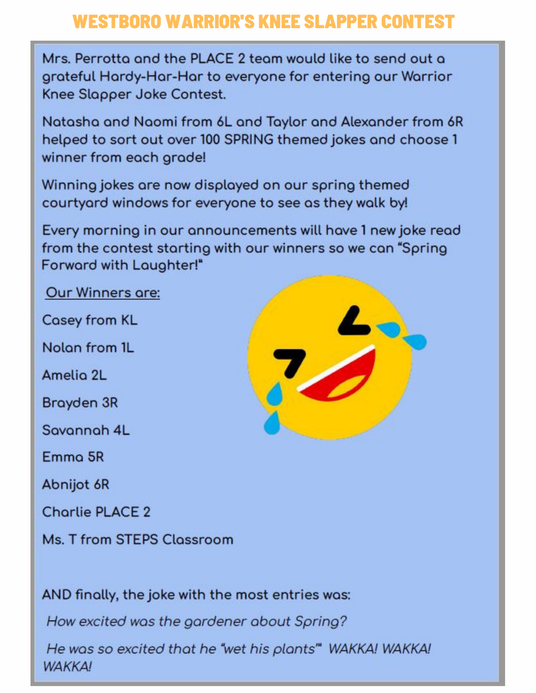#### **WESTBORO WARRIOR'S KNEE SLAPPER CONTEST**

Mrs. Perrotto and the PLACE 2 team would like to send out a grateful Hardy-Har-Har to everyone for entering our Warrior Knee Slapper Joke Contest.

Natasha and Naomi from 6L and Taylor and Alexander from 6R helped to sort out over 100 SPRING themed jokes and choose 1 winner from each grade!

Winning jokes are now displayed on our spring themed courtyard windows for everyone to see as they walk by!

Every morning in our announcements will have 1 new joke read from the contest starting with our winners so we can "Spring Forward with Laughter!"

Our Winners are:

**Casey from KL** 

Nolon from 1L

Amelio 2L

Brayden 3R

Savannah 4L

Emmo 5R

Abnijot 6R

**Charlie PLACE 2** 

Ms. T from STEPS Classroom



AND finally, the joke with the most entries was:

How excited was the gardener about Spring?

He was so excited that he "wet his plants" WAKKA! WAKKA! **WAKKA!**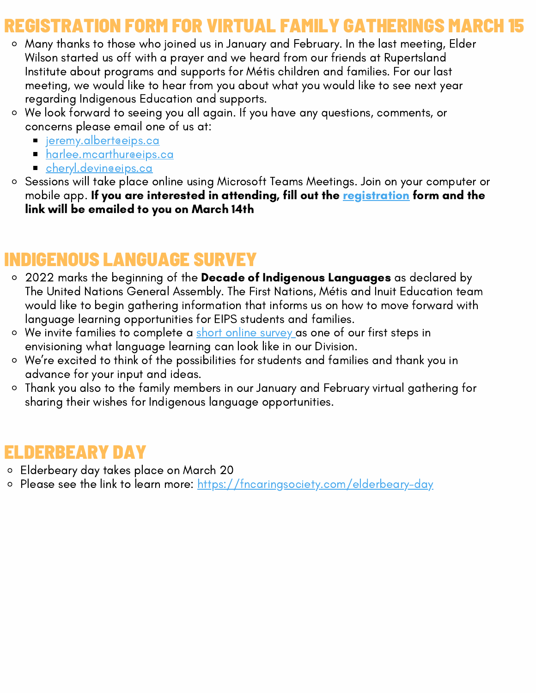#### REGISTRATION FORM FOR VIRTUAL FAMILY GATHERINGS MARCH 15

- Many thanks to those who joined us in January and February. In the last meeting, Elder Wilson started us off with a prayer and we heard from our friends at Rupertsland Institute about programs and supports for Métis children and families. For our last meeting, we would like to hear from you about what you would like to see next year regarding Indigenous Education and supports.
- We look forward to seeing you all again. If you have any questions, comments, or concerns please email one of us at:
	- [jeremy.albert@eips.ca](mailto:jeremy.albert@eips.ca)
	- harlee.mcarthureeips.ca
	- [cheryl.devin@eips.ca](mailto:cheryl.devin@eips.ca)
- Sessions will take place online using Microsoft Teams Meetings. Join on your computer or mobile app. If you are interested in attending, fill out the [registration](https://docs.google.com/forms/d/e/1FAIpQLSes2gwmqjwAt4f3knubjGvpTxClHL1n-p-nGL01dqMN3uePqA/viewform) form and the link will be emailed to you on March 14th

#### DIGENOUS LANGUAGE SURVEY

- 2022 marks the beginning of the Decade of Indigenous Languages as declared by The United Nations General Assembly. The First Nations, Métis and Inuit Education team would like to begin gathering information that informs us on how to move forward with language learning opportunities for EIPS students and families.
- o We invite families to complete a short online [survey](https://docs.google.com/forms/d/e/1FAIpQLSdK7reWPx0ViA1oniEqrgvlf6fImNHGb6Wk9E59_tV1wz1Vfg/viewform) as one of our first steps in envisioning what language learning can look like in our Division.
- We're excited to think of the possibilities for students and families and thank you in advance for your input and ideas.
- Thank you also to the family members in our January and February virtual gathering for sharing their wishes for Indigenous language opportunities.

#### ELDERBEARY DAY

- Elderbeary day takes place on March 20
- o Please see the link to learn more: <https://fncaringsociety.com/elderbeary-day>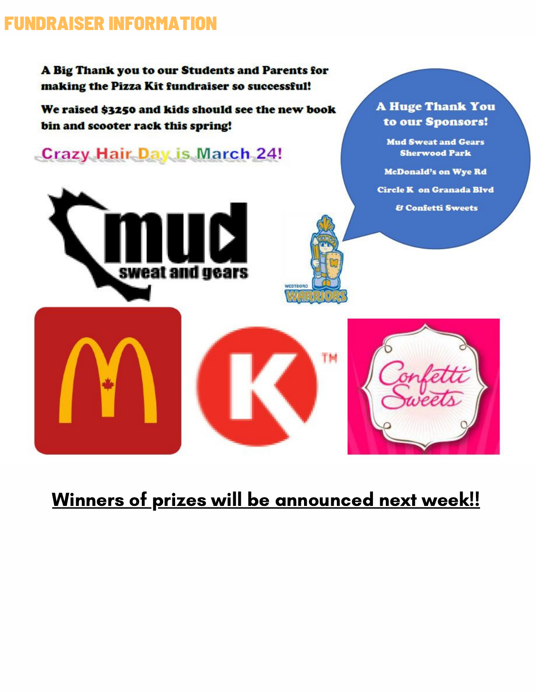#### **FUNDRAISER INFORMATION**

A Big Thank you to our Students and Parents for making the Pizza Kit fundraiser so successful!

We raised \$3250 and kids should see the new book bin and scooter rack this spring!

**Crazy Hair Day is March 24!** 





**Mud Sweat and Gears Sherwood Park** 

**McDonald's on Wye Rd** 

Circle K on Granada Blvd

**& Confetti Sweets** 



#### Winners of prizes will be announced next week!!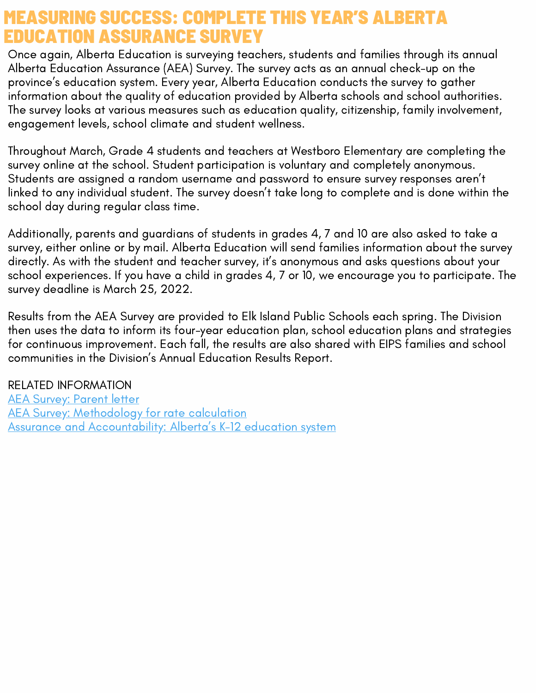#### MEASURING SUCCESS: COMPLETE THIS YEAR'S ALBERTA EDUCATION ASSURANCE SURVEY

Once again, Alberta Education is surveying teachers, students and families through its annual Alberta Education Assurance (AEA) Survey. The survey acts as an annual check-up on the province's education system. Every year, Alberta Education conducts the survey to gather information about the quality of education provided by Alberta schools and school authorities. The survey looks at various measures such as education quality, citizenship, family involvement, engagement levels, school climate and student wellness.

Throughout March, Grade 4 students and teachers at Westboro Elementary are completing the survey online at the school. Student participation is voluntary and completely anonymous. Students are assigned a random username and password to ensure survey responses aren't linked to any individual student. The survey doesn't take long to complete and is done within the school day during regular class time.

Additionally, parents and guardians of students in grades 4, 7 and 10 are also asked to take a survey, either online or by mail. Alberta Education will send families information about the survey directly. As with the student and teacher survey, it's anonymous and asks questions about your school experiences. If you have a child in grades 4, 7 or 10, we encourage you to participate. The survey deadline is March 25, 2022.

Results from the AEA Survey are provided to Elk Island Public Schools each spring. The Division then uses the data to inform its four-year education plan, school education plans and strategies for continuous improvement. Each fall, the results are also shared with EIPS families and school communities in the Division's Annual Education Results Report.

RELATED INFORMATION AEA [Survey:](https://www.alberta.ca/assets/documents/edc-alberta-education-assurance-survey-parent-letter.pdf) Parent letter **AEA Survey: [Methodology](https://open.alberta.ca/publications/alberta-education-assurance-survey) for rate calculation** Assurance and [Accountability:](https://www.alberta.ca/accountability-education-system.aspx) Alberta's K-12 education system